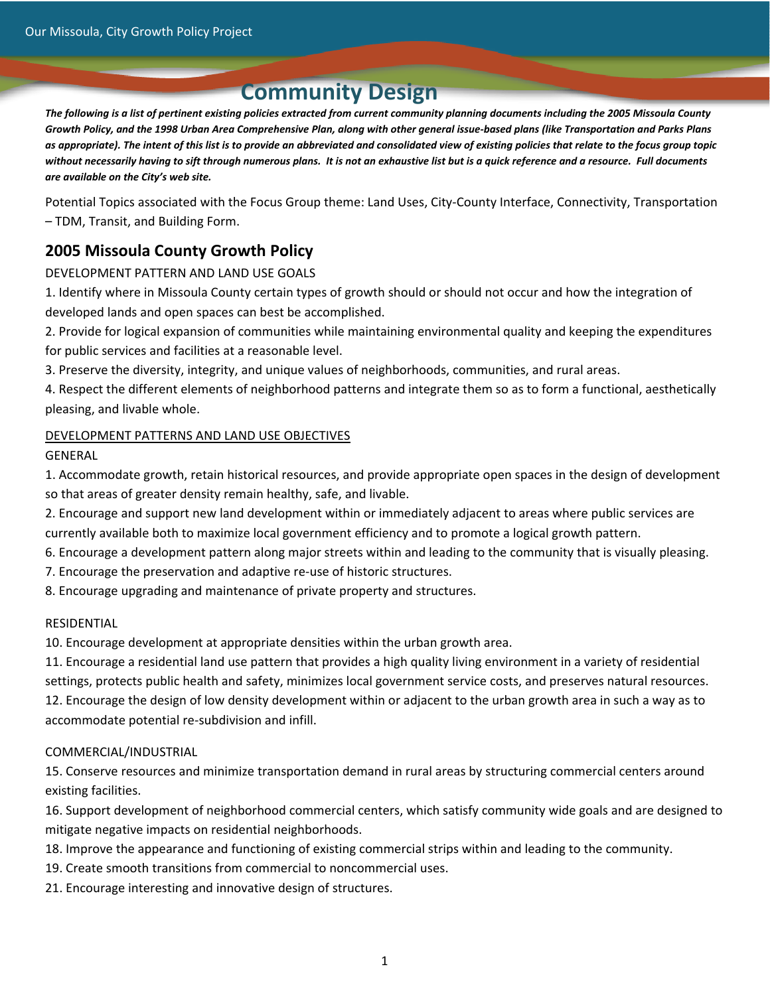# **Community Design**

The following is a list of pertinent existing policies extracted from current community planning documents including the 2005 Missoula County Growth Policy, and the 1998 Urban Area Comprehensive Plan, along with other general issue-based plans (like Transportation and Parks Plans as appropriate). The intent of this list is to provide an abbreviated and consolidated view of existing policies that relate to the focus group topic without necessarily having to sift through numerous plans. It is not an exhaustive list but is a quick reference and a resource. Full documents *are available on the City's web site.*

Potential Topics associated with the Focus Group theme: Land Uses, City‐County Interface, Connectivity, Transportation – TDM, Transit, and Building Form.

# **2005 Missoula County Growth Policy**

#### DEVELOPMENT PATTERN AND LAND USE GOALS

1. Identify where in Missoula County certain types of growth should or should not occur and how the integration of developed lands and open spaces can best be accomplished.

2. Provide for logical expansion of communities while maintaining environmental quality and keeping the expenditures for public services and facilities at a reasonable level.

3. Preserve the diversity, integrity, and unique values of neighborhoods, communities, and rural areas.

4. Respect the different elements of neighborhood patterns and integrate them so as to form a functional, aesthetically pleasing, and livable whole.

#### DEVELOPMENT PATTERNS AND LAND USE OBJECTIVES

GENERAL

1. Accommodate growth, retain historical resources, and provide appropriate open spaces in the design of development so that areas of greater density remain healthy, safe, and livable.

- 2. Encourage and support new land development within or immediately adjacent to areas where public services are currently available both to maximize local government efficiency and to promote a logical growth pattern.
- 6. Encourage a development pattern along major streets within and leading to the community that is visually pleasing.
- 7. Encourage the preservation and adaptive re‐use of historic structures.
- 8. Encourage upgrading and maintenance of private property and structures.

#### RESIDENTIAL

10. Encourage development at appropriate densities within the urban growth area.

11. Encourage a residential land use pattern that provides a high quality living environment in a variety of residential settings, protects public health and safety, minimizes local government service costs, and preserves natural resources. 12. Encourage the design of low density development within or adjacent to the urban growth area in such a way as to accommodate potential re‐subdivision and infill.

#### COMMERCIAL/INDUSTRIAL

15. Conserve resources and minimize transportation demand in rural areas by structuring commercial centers around existing facilities.

16. Support development of neighborhood commercial centers, which satisfy community wide goals and are designed to mitigate negative impacts on residential neighborhoods.

- 18. Improve the appearance and functioning of existing commercial strips within and leading to the community.
- 19. Create smooth transitions from commercial to noncommercial uses.
- 21. Encourage interesting and innovative design of structures.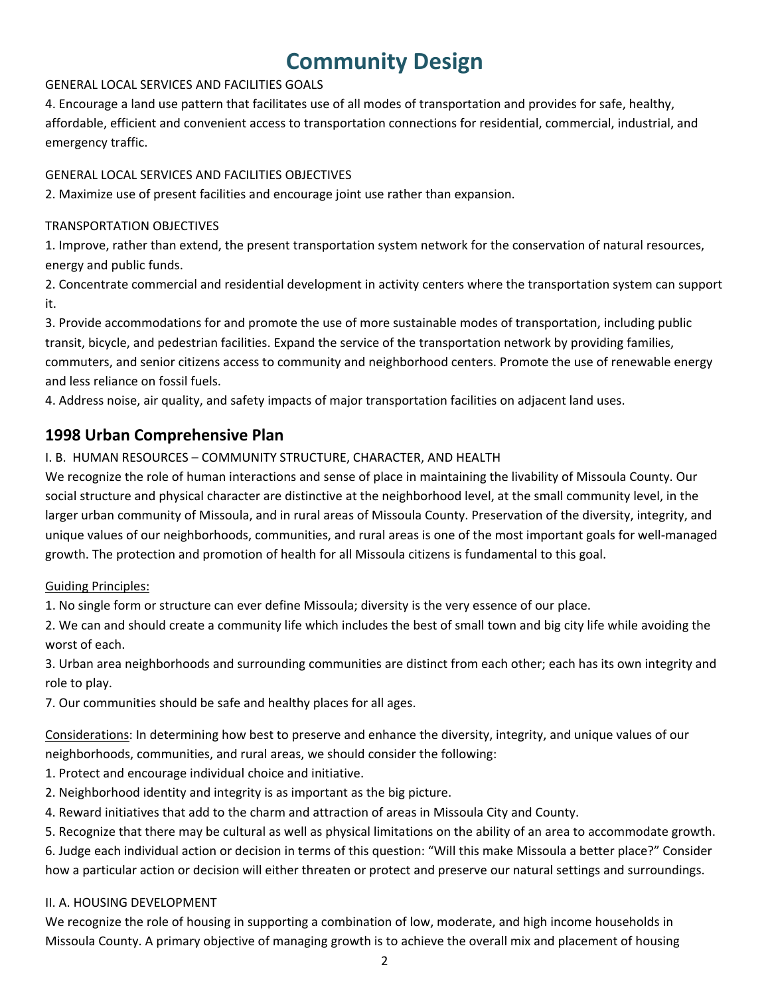# **Community Design**

#### GENERAL LOCAL SERVICES AND FACILITIES GOALS

4. Encourage a land use pattern that facilitates use of all modes of transportation and provides for safe, healthy, affordable, efficient and convenient access to transportation connections for residential, commercial, industrial, and emergency traffic.

#### GENERAL LOCAL SERVICES AND FACILITIES OBJECTIVES

2. Maximize use of present facilities and encourage joint use rather than expansion.

#### TRANSPORTATION OBJECTIVES

1. Improve, rather than extend, the present transportation system network for the conservation of natural resources, energy and public funds.

2. Concentrate commercial and residential development in activity centers where the transportation system can support it.

3. Provide accommodations for and promote the use of more sustainable modes of transportation, including public transit, bicycle, and pedestrian facilities. Expand the service of the transportation network by providing families, commuters, and senior citizens access to community and neighborhood centers. Promote the use of renewable energy and less reliance on fossil fuels.

4. Address noise, air quality, and safety impacts of major transportation facilities on adjacent land uses.

# **1998 Urban Comprehensive Plan**

#### I. B. HUMAN RESOURCES – COMMUNITY STRUCTURE, CHARACTER, AND HEALTH

We recognize the role of human interactions and sense of place in maintaining the livability of Missoula County. Our social structure and physical character are distinctive at the neighborhood level, at the small community level, in the larger urban community of Missoula, and in rural areas of Missoula County. Preservation of the diversity, integrity, and unique values of our neighborhoods, communities, and rural areas is one of the most important goals for well‐managed growth. The protection and promotion of health for all Missoula citizens is fundamental to this goal.

#### Guiding Principles:

1. No single form or structure can ever define Missoula; diversity is the very essence of our place.

2. We can and should create a community life which includes the best of small town and big city life while avoiding the worst of each.

3. Urban area neighborhoods and surrounding communities are distinct from each other; each has its own integrity and role to play.

7. Our communities should be safe and healthy places for all ages.

Considerations: In determining how best to preserve and enhance the diversity, integrity, and unique values of our neighborhoods, communities, and rural areas, we should consider the following:

1. Protect and encourage individual choice and initiative.

- 2. Neighborhood identity and integrity is as important as the big picture.
- 4. Reward initiatives that add to the charm and attraction of areas in Missoula City and County.
- 5. Recognize that there may be cultural as well as physical limitations on the ability of an area to accommodate growth.

6. Judge each individual action or decision in terms of this question: "Will this make Missoula a better place?" Consider how a particular action or decision will either threaten or protect and preserve our natural settings and surroundings.

#### II. A. HOUSING DEVELOPMENT

We recognize the role of housing in supporting a combination of low, moderate, and high income households in Missoula County. A primary objective of managing growth is to achieve the overall mix and placement of housing